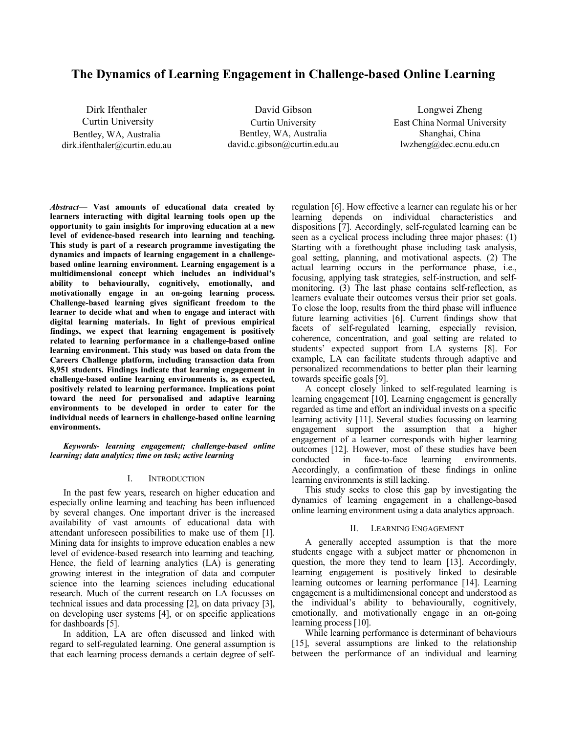# **The Dynamics of Learning Engagement in Challenge-based Online Learning**

Dirk Ifenthaler Curtin University Bentley, WA, Australia dirk.ifenthaler@curtin.edu.au

David Gibson Curtin University Bentley, WA, Australia david.c.gibson@curtin.edu.au

Longwei Zheng East China Normal University Shanghai, China lwzheng@dec.ecnu.edu.cn

*Abstract***— Vast amounts of educational data created by learners interacting with digital learning tools open up the opportunity to gain insights for improving education at a new level of evidence-based research into learning and teaching. This study is part of a research programme investigating the dynamics and impacts of learning engagement in a challengebased online learning environment. Learning engagement is a multidimensional concept which includes an individual's ability to behaviourally, cognitively, emotionally, and motivationally engage in an on-going learning process. Challenge-based learning gives significant freedom to the learner to decide what and when to engage and interact with digital learning materials. In light of previous empirical findings, we expect that learning engagement is positively related to learning performance in a challenge-based online learning environment. This study was based on data from the Careers Challenge platform, including transaction data from 8,951 students. Findings indicate that learning engagement in challenge-based online learning environments is, as expected, positively related to learning performance. Implications point toward the need for personalised and adaptive learning environments to be developed in order to cater for the individual needs of learners in challenge-based online learning environments.**

*Keywords- learning engagement; challenge-based online learning; data analytics; time on task; active learning*

#### I. INTRODUCTION

In the past few years, research on higher education and especially online learning and teaching has been influenced by several changes. One important driver is the increased availability of vast amounts of educational data with attendant unforeseen possibilities to make use of them [1]. Mining data for insights to improve education enables a new level of evidence-based research into learning and teaching. Hence, the field of learning analytics  $(LA)$  is generating growing interest in the integration of data and computer science into the learning sciences including educational research. Much of the current research on LA focusses on technical issues and data processing [2], on data privacy [3], on developing user systems [4], or on specific applications for dashboards [5].

In addition, LA are often discussed and linked with regard to self-regulated learning. One general assumption is that each learning process demands a certain degree of selfregulation [6]. How effective a learner can regulate his or her learning depends on individual characteristics and dispositions [7]. Accordingly, self-regulated learning can be seen as a cyclical process including three major phases: (1) Starting with a forethought phase including task analysis, goal setting, planning, and motivational aspects. (2) The actual learning occurs in the performance phase, i.e., focusing, applying task strategies, self-instruction, and selfmonitoring. (3) The last phase contains self-reflection, as learners evaluate their outcomes versus their prior set goals. To close the loop, results from the third phase will influence future learning activities [6]. Current findings show that facets of self-regulated learning, especially revision, coherence, concentration, and goal setting are related to students' expected support from LA systems [8]. For example, LA can facilitate students through adaptive and personalized recommendations to better plan their learning towards specific goals [9].

A concept closely linked to self-regulated learning is learning engagement [10]. Learning engagement is generally regarded as time and effort an individual invests on a specific learning activity [11]. Several studies focussing on learning engagement support the assumption that a higher engagement of a learner corresponds with higher learning outcomes [12]. However, most of these studies have been conducted in face-to-face learning environments. Accordingly, a confirmation of these findings in online learning environments is still lacking.

This study seeks to close this gap by investigating the dynamics of learning engagement in a challenge-based online learning environment using a data analytics approach.

#### II. LEARNING ENGAGEMENT

A generally accepted assumption is that the more students engage with a subject matter or phenomenon in question, the more they tend to learn [13]. Accordingly, learning engagement is positively linked to desirable learning outcomes or learning performance [14]. Learning engagement is a multidimensional concept and understood as the individual's ability to behaviourally, cognitively, emotionally, and motivationally engage in an on-going learning process [10].

While learning performance is determinant of behaviours [15], several assumptions are linked to the relationship between the performance of an individual and learning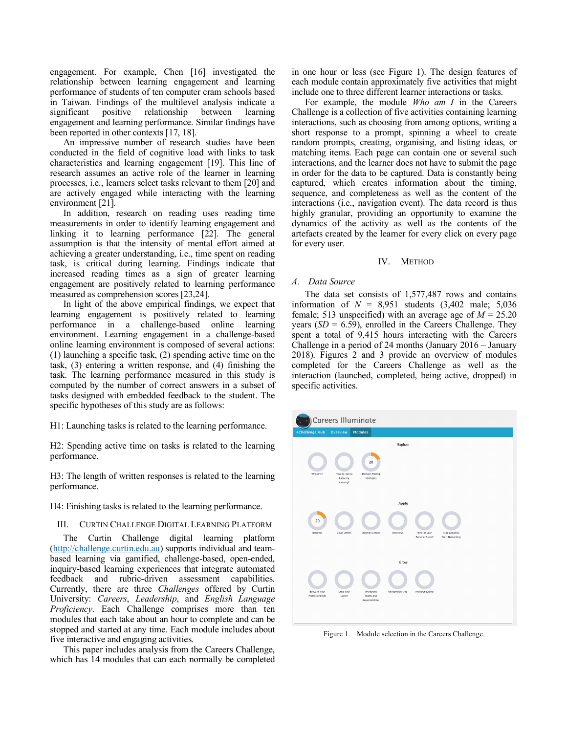engagement. For example, Chen [16] investigated the relationship between learning engagement and learning performance of students of ten computer cram schools based in Taiwan. Findings of the multilevel analysis indicate a significant positive relationship between learning engagement and learning performance. Similar findings have been reported in other contexts [17, 18].

An impressive number of research studies have been conducted in the field of cognitive load with links to task characteristics and learning engagement [19]. This line of research assumes an active role of the learner in learning processes, i.e., learners select tasks relevant to them [20] and are actively engaged while interacting with the learning environment [21].

In addition, research on reading uses reading time measurements in order to identify learning engagement and linking it to learning performance [22]. The general assumption is that the intensity of mental effort aimed at achieving a greater understanding, i.e., time spent on reading task, is critical during learning. Findings indicate that increased reading times as a sign of greater learning engagement are positively related to learning performance measured as comprehension scores [23,24].

In light of the above empirical findings, we expect that learning engagement is positively related to learning performance in a challenge-based online learning environment. Learning engagement in a challenge-based online learning environment is composed of several actions: (1) launching a specific task, (2) spending active time on the task, (3) entering a written response, and (4) finishing the task. The learning performance measured in this study is computed by the number of correct answers in a subset of tasks designed with embedded feedback to the student. The specific hypotheses of this study are as follows:

H1: Launching tasks is related to the learning performance.

H2: Spending active time on tasks is related to the learning performance.

H3: The length of written responses is related to the learning performance.

H4: Finishing tasks is related to the learning performance.

### III. CURTIN CHALLENGE DIGITAL LEARNING PLATFORM

The Curtin Challenge digital learning platform (http://challenge.curtin.edu.au) supports individual and teambased learning via gamified, challenge-based, open-ended, inquiry-based learning experiences that integrate automated feedback and rubric-driven assessment capabilities. Currently, there are three *Challenges* offered by Curtin University: *Careers*, *Leadership*, and *English Language Proficiency*. Each Challenge comprises more than ten modules that each take about an hour to complete and can be stopped and started at any time. Each module includes about five interactive and engaging activities.

This paper includes analysis from the Careers Challenge, which has 14 modules that can each normally be completed in one hour or less (see Figure 1). The design features of each module contain approximately five activities that might include one to three different learner interactions or tasks.

For example, the module *Who am I* in the Careers Challenge is a collection of five activities containing learning interactions, such as choosing from among options, writing a short response to a prompt, spinning a wheel to create random prompts, creating, organising, and listing ideas, or matching items. Each page can contain one or several such interactions, and the learner does not have to submit the page in order for the data to be captured. Data is constantly being captured, which creates information about the timing, sequence, and completeness as well as the content of the interactions (i.e., navigation event). The data record is thus highly granular, providing an opportunity to examine the dynamics of the activity as well as the contents of the artefacts created by the learner for every click on every page for every user.

#### IV. METHOD

### *A. Data Source*

The data set consists of 1,577,487 rows and contains information of  $N = 8,951$  students  $(3,402 \text{ male}; 5,036$ female; 513 unspecified) with an average age of  $M = 25.20$ years  $(SD = 6.59)$ , enrolled in the Careers Challenge. They spent a total of 9,415 hours interacting with the Careers Challenge in a period of 24 months (January 2016 – January 2018). Figures 2 and 3 provide an overview of modules completed for the Careers Challenge as well as the interaction (launched, completed, being active, dropped) in specific activities.



Figure 1. Module selection in the Careers Challenge.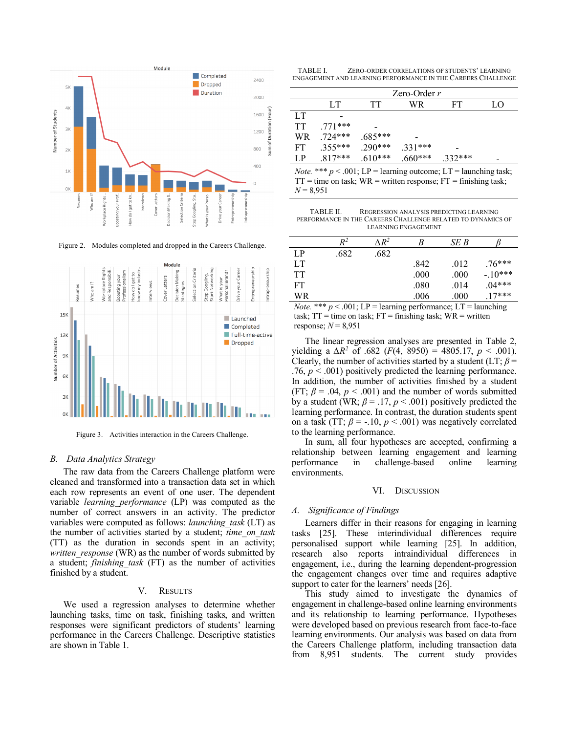

Figure 2. Modules completed and dropped in the Careers Challenge.



Figure 3. Activities interaction in the Careers Challenge.

# *B. Data Analytics Strategy*

The raw data from the Careers Challenge platform were cleaned and transformed into a transaction data set in which each row represents an event of one user. The dependent variable *learning\_performance* (LP) was computed as the number of correct answers in an activity. The predictor variables were computed as follows: *launching\_task* (LT) as the number of activities started by a student; *time\_on\_task* (TT) as the duration in seconds spent in an activity; *written\_response* (WR) as the number of words submitted by a student; *finishing\_task* (FT) as the number of activities finished by a student.

### V. RESULTS

We used a regression analyses to determine whether launching tasks, time on task, finishing tasks, and written responses were significant predictors of students' learning performance in the Careers Challenge. Descriptive statistics are shown in Table 1.

TABLE I. ZERO-ORDER CORRELATIONS OF STUDENTS' LEARNING ENGAGEMENT AND LEARNING PERFORMANCE IN THE CAREERS CHALLENGE

|     | Zero-Order $r$ |           |           |           |    |  |  |
|-----|----------------|-----------|-----------|-----------|----|--|--|
|     | LT             | TT        | WR        | FT        | LΩ |  |  |
| LT  |                |           |           |           |    |  |  |
| TT. | $.771***$      |           |           |           |    |  |  |
| WR  | $.724***$      | $.685***$ |           |           |    |  |  |
| FT  | $.355***$      | $.290***$ | $.331***$ |           |    |  |  |
| LP. | $.817***$      | $.610***$ | $.660***$ | $.332***$ |    |  |  |

*Note.* \*\*\*  $p < .001$ ; LP = learning outcome; LT = launching task;  $TT =$  time on task;  $WR =$  written response;  $FT =$  finishing task; *N* = 8,951

TABLE II. REGRESSION ANALYSIS PREDICTING LEARNING PERFORMANCE IN THE CAREERS CHALLENGE RELATED TO DYNAMICS OF LEARNING ENGAGEMENT

|             | $R^2$ | $\Lambda R^2$ | B    | SE B |          |
|-------------|-------|---------------|------|------|----------|
| $L_{\rm P}$ | .682  | .682          |      |      |          |
| LT.         |       |               | .842 | .012 | $.76***$ |
| <b>TT</b>   |       |               | .000 | .000 | $-10***$ |
| FT          |       |               | .080 | .014 | $.04***$ |
| WR          |       |               | .006 | .000 | $17***$  |

*Note.* \*\*\*  $p < .001$ ; LP = learning performance; LT = launching task;  $TT =$  time on task;  $FT =$  finishing task;  $WR =$  written response;  $N = 8,951$ 

The linear regression analyses are presented in Table 2, yielding a  $\Delta R^2$  of .682 (*F*(4, 8950) = 4805.17, *p* < .001). Clearly, the number of activities started by a student ( $LT$ ;  $\beta$  = .76,  $p < .001$ ) positively predicted the learning performance. In addition, the number of activities finished by a student (FT;  $\beta$  = .04,  $p$  < .001) and the number of words submitted by a student (WR;  $\beta$  = .17,  $p$  < .001) positively predicted the learning performance. In contrast, the duration students spent on a task (TT;  $\beta$  = -.10,  $p < .001$ ) was negatively correlated to the learning performance.

In sum, all four hypotheses are accepted, confirming a relationship between learning engagement and learning performance in challenge-based online learning environments.

#### VI. DISCUSSION

# *A. Significance of Findings*

Learners differ in their reasons for engaging in learning tasks [25]. These interindividual differences require personalised support while learning [25]. In addition, research also reports intraindividual differences in engagement, i.e., during the learning dependent-progression the engagement changes over time and requires adaptive support to cater for the learners' needs [26].

This study aimed to investigate the dynamics of engagement in challenge-based online learning environments and its relationship to learning performance. Hypotheses were developed based on previous research from face-to-face learning environments. Our analysis was based on data from the Careers Challenge platform, including transaction data from 8,951 students. The current study provides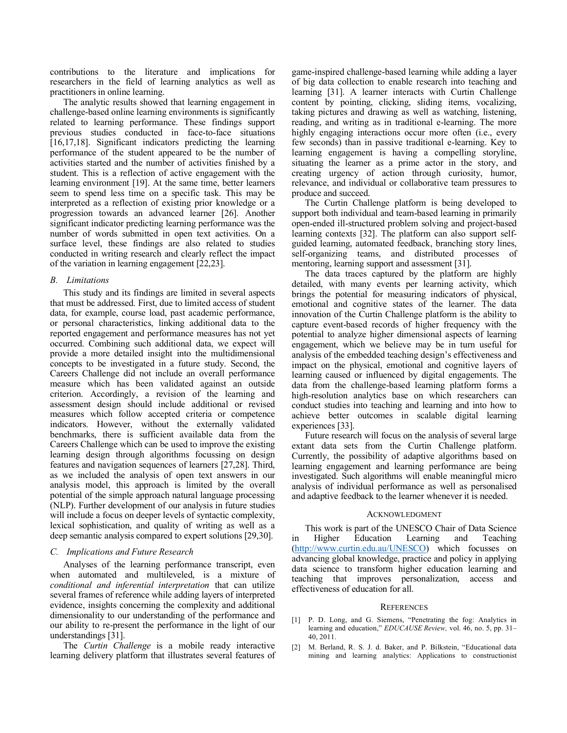contributions to the literature and implications for researchers in the field of learning analytics as well as practitioners in online learning.

The analytic results showed that learning engagement in challenge-based online learning environments is significantly related to learning performance. These findings support previous studies conducted in face-to-face situations [16,17,18]. Significant indicators predicting the learning performance of the student appeared to be the number of activities started and the number of activities finished by a student. This is a reflection of active engagement with the learning environment [19]. At the same time, better learners seem to spend less time on a specific task. This may be interpreted as a reflection of existing prior knowledge or a progression towards an advanced learner [26]. Another significant indicator predicting learning performance was the number of words submitted in open text activities. On a surface level, these findings are also related to studies conducted in writing research and clearly reflect the impact of the variation in learning engagement [22,23].

## *B. Limitations*

This study and its findings are limited in several aspects that must be addressed. First, due to limited access of student data, for example, course load, past academic performance, or personal characteristics, linking additional data to the reported engagement and performance measures has not yet occurred. Combining such additional data, we expect will provide a more detailed insight into the multidimensional concepts to be investigated in a future study. Second, the Careers Challenge did not include an overall performance measure which has been validated against an outside criterion. Accordingly, a revision of the learning and assessment design should include additional or revised measures which follow accepted criteria or competence indicators. However, without the externally validated benchmarks, there is sufficient available data from the Careers Challenge which can be used to improve the existing learning design through algorithms focussing on design features and navigation sequences of learners [27,28]. Third, as we included the analysis of open text answers in our analysis model, this approach is limited by the overall potential of the simple approach natural language processing (NLP). Further development of our analysis in future studies will include a focus on deeper levels of syntactic complexity, lexical sophistication, and quality of writing as well as a deep semantic analysis compared to expert solutions [29,30].

#### *C. Implications and Future Research*

Analyses of the learning performance transcript, even when automated and multileveled, is a mixture of *conditional and inferential interpretation* that can utilize several frames of reference while adding layers of interpreted evidence, insights concerning the complexity and additional dimensionality to our understanding of the performance and our ability to re-present the performance in the light of our understandings [31].

The *Curtin Challenge* is a mobile ready interactive learning delivery platform that illustrates several features of game-inspired challenge-based learning while adding a layer of big data collection to enable research into teaching and learning [31]. A learner interacts with Curtin Challenge content by pointing, clicking, sliding items, vocalizing, taking pictures and drawing as well as watching, listening, reading, and writing as in traditional e-learning. The more highly engaging interactions occur more often (i.e., every few seconds) than in passive traditional e-learning. Key to learning engagement is having a compelling storyline, situating the learner as a prime actor in the story, and creating urgency of action through curiosity, humor, relevance, and individual or collaborative team pressures to produce and succeed.

The Curtin Challenge platform is being developed to support both individual and team-based learning in primarily open-ended ill-structured problem solving and project-based learning contexts [32]. The platform can also support selfguided learning, automated feedback, branching story lines, self-organizing teams, and distributed processes of mentoring, learning support and assessment [31].

The data traces captured by the platform are highly detailed, with many events per learning activity, which brings the potential for measuring indicators of physical, emotional and cognitive states of the learner. The data innovation of the Curtin Challenge platform is the ability to capture event-based records of higher frequency with the potential to analyze higher dimensional aspects of learning engagement, which we believe may be in turn useful for analysis of the embedded teaching design's effectiveness and impact on the physical, emotional and cognitive layers of learning caused or influenced by digital engagements. The data from the challenge-based learning platform forms a high-resolution analytics base on which researchers can conduct studies into teaching and learning and into how to achieve better outcomes in scalable digital learning experiences [33].

Future research will focus on the analysis of several large extant data sets from the Curtin Challenge platform. Currently, the possibility of adaptive algorithms based on learning engagement and learning performance are being investigated. Such algorithms will enable meaningful micro analysis of individual performance as well as personalised and adaptive feedback to the learner whenever it is needed.

#### ACKNOWLEDGMENT

This work is part of the UNESCO Chair of Data Science in Higher Education Learning and Teaching (http://www.curtin.edu.au/UNESCO) which focusses on advancing global knowledge, practice and policy in applying data science to transform higher education learning and teaching that improves personalization, access and effectiveness of education for all.

#### **REFERENCES**

- [1] P. D. Long, and G. Siemens, "Penetrating the fog: Analytics in learning and education," *EDUCAUSE Review,* vol. 46, no. 5, pp. 31– 40, 2011.
- [2] M. Berland, R. S. J. d. Baker, and P. Bilkstein, "Educational data mining and learning analytics: Applications to constructionist